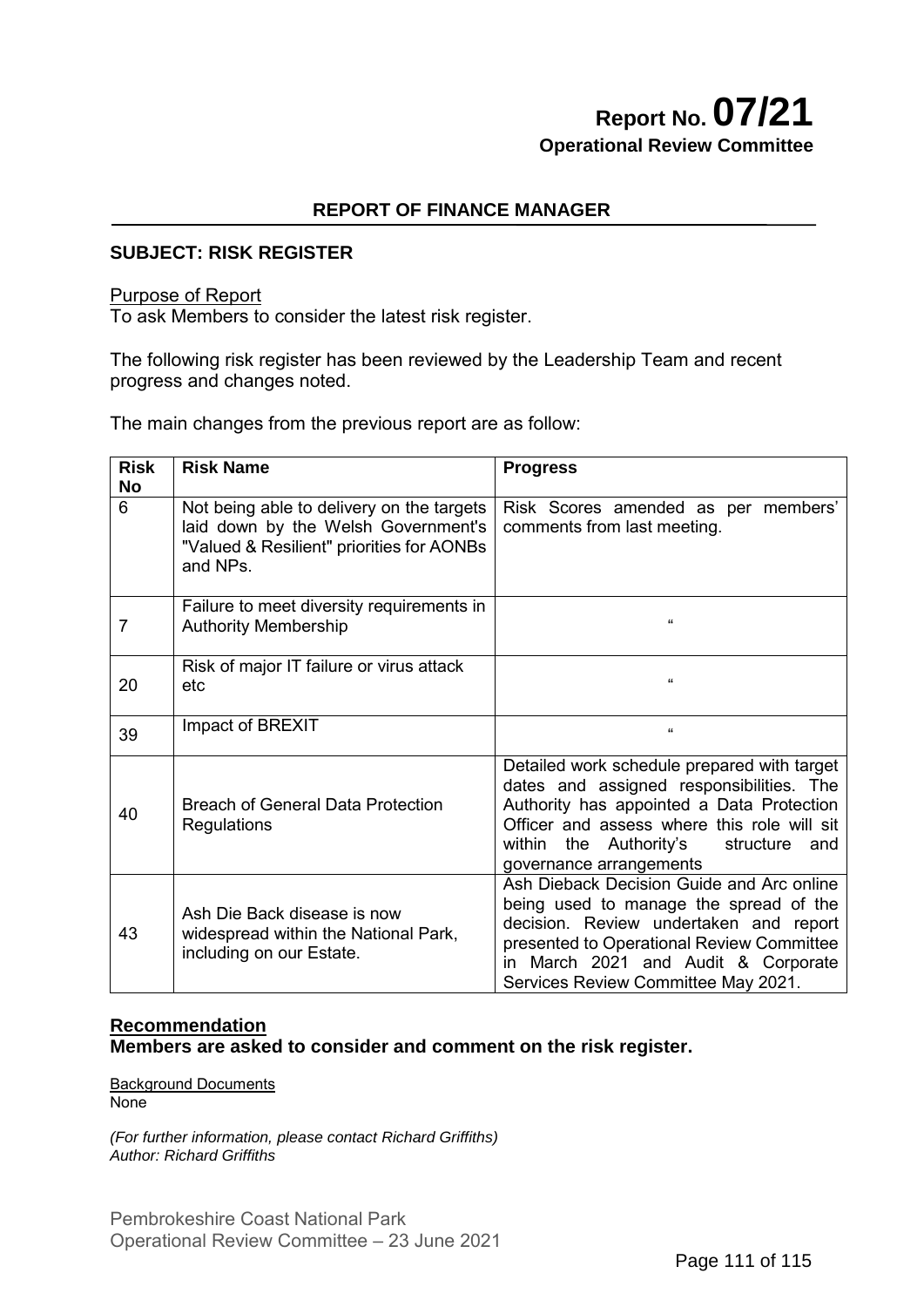# **Report No. 07/21 Operational Review Committee**

# **REPORT OF FINANCE MANAGER**

# **SUBJECT: RISK REGISTER**

### Purpose of Report

To ask Members to consider the latest risk register.

The following risk register has been reviewed by the Leadership Team and recent progress and changes noted.

The main changes from the previous report are as follow:

| <b>Risk</b><br><b>No</b> | <b>Risk Name</b>                                                                                                                          | <b>Progress</b>                                                                                                                                                                                                                                              |
|--------------------------|-------------------------------------------------------------------------------------------------------------------------------------------|--------------------------------------------------------------------------------------------------------------------------------------------------------------------------------------------------------------------------------------------------------------|
| 6                        | Not being able to delivery on the targets<br>laid down by the Welsh Government's<br>"Valued & Resilient" priorities for AONBs<br>and NPs. | Risk Scores amended as per members'<br>comments from last meeting.                                                                                                                                                                                           |
| $\overline{7}$           | Failure to meet diversity requirements in<br><b>Authority Membership</b>                                                                  | $\epsilon$                                                                                                                                                                                                                                                   |
| 20                       | Risk of major IT failure or virus attack<br>etc                                                                                           | $\mathbf{G}$                                                                                                                                                                                                                                                 |
| 39                       | Impact of BREXIT                                                                                                                          | $\mathbf{G}$                                                                                                                                                                                                                                                 |
| 40                       | <b>Breach of General Data Protection</b><br>Regulations                                                                                   | Detailed work schedule prepared with target<br>dates and assigned responsibilities. The<br>Authority has appointed a Data Protection<br>Officer and assess where this role will sit<br>within the Authority's<br>structure<br>and<br>governance arrangements |
| 43                       | Ash Die Back disease is now<br>widespread within the National Park,<br>including on our Estate.                                           | Ash Dieback Decision Guide and Arc online<br>being used to manage the spread of the<br>decision. Review undertaken and report<br>presented to Operational Review Committee<br>in March 2021 and Audit & Corporate<br>Services Review Committee May 2021.     |

### **Recommendation Members are asked to consider and comment on the risk register.**

Background Documents None

*(For further information, please contact Richard Griffiths) Author: Richard Griffiths*

Pembrokeshire Coast National Park Operational Review Committee – 23 June 2021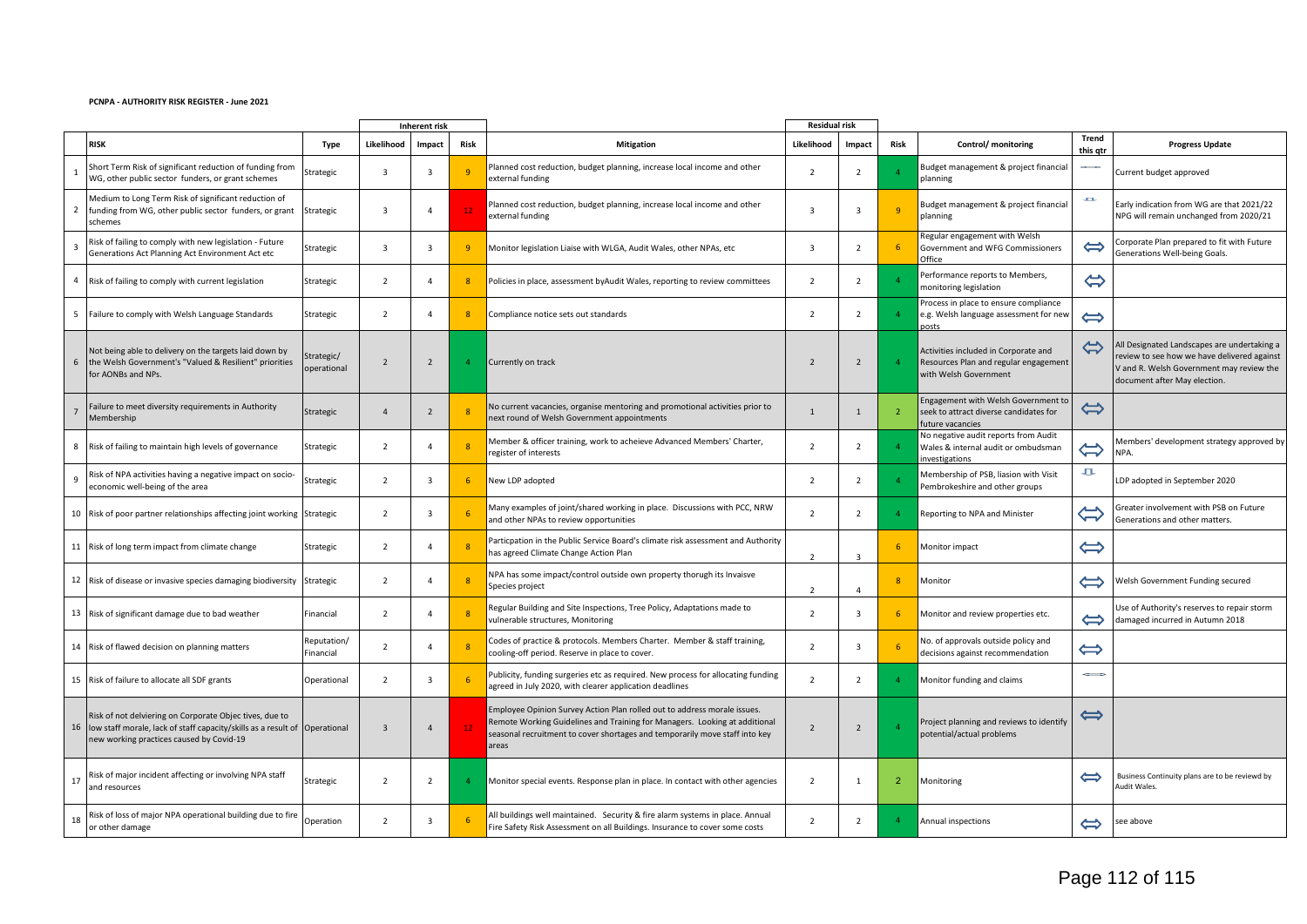#### **PCNPA - AUTHORITY RISK REGISTER - June 2021**

|                |                                                                                                                                                                          |                           |                | <b>Inherent risk</b> |                         |                                                                                                                                                                                                                                                | <b>Residual risk</b>     |                |                |                                                                                                         |                            |                                                                                                                                                                        |
|----------------|--------------------------------------------------------------------------------------------------------------------------------------------------------------------------|---------------------------|----------------|----------------------|-------------------------|------------------------------------------------------------------------------------------------------------------------------------------------------------------------------------------------------------------------------------------------|--------------------------|----------------|----------------|---------------------------------------------------------------------------------------------------------|----------------------------|------------------------------------------------------------------------------------------------------------------------------------------------------------------------|
|                | <b>RISK</b>                                                                                                                                                              | Type                      | Likelihood     | Impact               | Risk                    | <b>Mitigation</b>                                                                                                                                                                                                                              | Likelihood               | Impact         | <b>Risk</b>    | Control/ monitoring                                                                                     | Trend<br>this qtr          | <b>Progress Update</b>                                                                                                                                                 |
|                | Short Term Risk of significant reduction of funding from<br>WG, other public sector funders, or grant schemes                                                            | Strategic                 | $\overline{3}$ | $\overline{3}$       | -9                      | Planned cost reduction, budget planning, increase local income and other<br>external funding                                                                                                                                                   | $\overline{2}$           | $\overline{2}$ |                | Budget management & project financial<br>planning                                                       |                            | Current budget approved                                                                                                                                                |
| $2^{\circ}$    | Medium to Long Term Risk of significant reduction of<br>funding from WG, other public sector funders, or grant<br>schemes                                                | Strategic                 | $\overline{3}$ | $\overline{4}$       | 12                      | Planned cost reduction, budget planning, increase local income and other<br>external funding                                                                                                                                                   | $\overline{3}$           | $\overline{3}$ |                | Budget management & project financial<br>planning                                                       | хx                         | Early indication from WG are that 2021/22<br>NPG will remain unchanged from 2020/21                                                                                    |
| $\overline{3}$ | Risk of failing to comply with new legislation - Future<br>Generations Act Planning Act Environment Act etc                                                              | Strategic                 | $\overline{3}$ | $\overline{3}$       | -9                      | Monitor legislation Liaise with WLGA, Audit Wales, other NPAs, etc                                                                                                                                                                             | $\overline{3}$           | 2              |                | Regular engagement with Welsh<br>Government and WFG Commissioners<br>Office                             | $\Leftrightarrow$          | Corporate Plan prepared to fit with Future<br>Generations Well-being Goals.                                                                                            |
| 4              | Risk of failing to comply with current legislation                                                                                                                       | Strategic                 | $\overline{2}$ | $\mathbf{A}$         | $\overline{\mathbf{8}}$ | Policies in place, assessment by Audit Wales, reporting to review committees                                                                                                                                                                   | $\overline{2}$           | $\overline{2}$ |                | Performance reports to Members,<br>nonitoring legislation                                               | $\Leftrightarrow$          |                                                                                                                                                                        |
|                | 5 Failure to comply with Welsh Language Standards                                                                                                                        | Strategic                 | $\overline{2}$ | $\overline{4}$       | 8                       | Compliance notice sets out standards                                                                                                                                                                                                           | $\overline{2}$           | $\overline{2}$ |                | rocess in place to ensure compliance<br>e.g. Welsh language assessment for new<br>posts                 | $\Leftrightarrow$          |                                                                                                                                                                        |
| 6              | Not being able to delivery on the targets laid down by<br>the Welsh Government's "Valued & Resilient" priorities<br>for AONBs and NPs.                                   | Strategic/<br>operational | $\overline{2}$ | $\overline{2}$       |                         | Currently on track                                                                                                                                                                                                                             | $\overline{z}$           | $\overline{2}$ |                | Activities included in Corporate and<br>Resources Plan and regular engagement<br>with Welsh Government  | $\Leftrightarrow$          | All Designated Landscapes are undertaking a<br>review to see how we have delivered against<br>V and R. Welsh Government may review the<br>document after May election. |
|                | Failure to meet diversity requirements in Authority<br>Membership                                                                                                        | Strategic                 | $\overline{4}$ | 2                    |                         | No current vacancies, organise mentoring and promotional activities prior to<br>next round of Welsh Government appointments                                                                                                                    | $\overline{1}$           | $\mathbf{1}$   | $\overline{2}$ | <b>Engagement with Welsh Government to</b><br>seek to attract diverse candidates for<br>uture vacancies | $\Leftrightarrow$          |                                                                                                                                                                        |
|                | 8 Risk of failing to maintain high levels of governance                                                                                                                  | Strategic                 | $\overline{2}$ | $\overline{a}$       | $\overline{\mathbf{8}}$ | Member & officer training, work to acheieve Advanced Members' Charter,<br>egister of interests                                                                                                                                                 | $\overline{2}$           | $\overline{2}$ |                | No negative audit reports from Audit<br>Wales & internal audit or ombudsman<br>nvestigations            | $\Leftrightarrow$          | Members' development strategy approved by<br>NPA.                                                                                                                      |
| 9              | Risk of NPA activities having a negative impact on socio-<br>economic well-being of the area                                                                             | Strategic                 | $\overline{2}$ | $\overline{3}$       | 6                       | New LDP adopted                                                                                                                                                                                                                                | $\overline{2}$           | $\overline{2}$ |                | Membership of PSB, liasion with Visit<br>embrokeshire and other groups                                  | 九                          | LDP adopted in September 2020                                                                                                                                          |
|                | 10 Risk of poor partner relationships affecting joint working Strategic                                                                                                  |                           | $\overline{2}$ | $\overline{3}$       |                         | Many examples of joint/shared working in place. Discussions with PCC, NRW<br>and other NPAs to review opportunities                                                                                                                            | $\overline{2}$           | $\overline{2}$ |                | Reporting to NPA and Minister                                                                           | $\widetilde{\mathfrak{t}}$ | Greater involvement with PSB on Future<br>Generations and other matters.                                                                                               |
|                | 11 Risk of long term impact from climate change                                                                                                                          | Strategic                 | $\overline{2}$ | $\overline{a}$       | $\overline{8}$          | Particpation in the Public Service Board's climate risk assessment and Authority<br>has agreed Climate Change Action Plan                                                                                                                      | $\overline{\phantom{a}}$ | $\overline{3}$ | -6             | Monitor impact                                                                                          | $\Leftrightarrow$          |                                                                                                                                                                        |
|                | 12 Risk of disease or invasive species damaging biodiversity                                                                                                             | Strategic                 | $\overline{2}$ | $\overline{a}$       |                         | NPA has some impact/control outside own property thorugh its Invaisve<br>Species project                                                                                                                                                       | $\overline{\phantom{a}}$ | $\Delta$       |                | Monitor                                                                                                 | ⇔                          | Welsh Government Funding secured                                                                                                                                       |
|                | 13 Risk of significant damage due to bad weather                                                                                                                         | Financial                 | $\overline{2}$ | $\overline{4}$       |                         | Regular Building and Site Inspections, Tree Policy, Adaptations made to<br>vulnerable structures, Monitoring                                                                                                                                   | $\overline{2}$           | $\overline{3}$ |                | Monitor and review properties etc.                                                                      | ⇔                          | Use of Authority's reserves to repair storm<br>damaged incurred in Autumn 2018                                                                                         |
|                | 14 Risk of flawed decision on planning matters                                                                                                                           | Reputation/<br>Financial  | $\overline{2}$ | $\overline{4}$       |                         | Codes of practice & protocols. Members Charter. Member & staff training,<br>cooling-off period. Reserve in place to cover.                                                                                                                     | $\overline{2}$           | $\overline{3}$ |                | No. of approvals outside policy and<br>decisions against recommendation                                 | $\Leftrightarrow$          |                                                                                                                                                                        |
|                | 15 Risk of failure to allocate all SDF grants                                                                                                                            | Operational               | $\overline{2}$ | $\overline{3}$       | 6                       | Publicity, funding surgeries etc as required. New process for allocating funding<br>agreed in July 2020, with clearer application deadlines                                                                                                    | $\overline{2}$           | $\overline{2}$ |                | Monitor funding and claims                                                                              |                            |                                                                                                                                                                        |
|                | Risk of not delviering on Corporate Objec tives, due to<br>16 low staff morale, lack of staff capacity/skills as a result of<br>new working practices caused by Covid-19 | Operational               | $\overline{3}$ | $\overline{a}$       |                         | Employee Opinion Survey Action Plan rolled out to address morale issues.<br>Remote Working Guidelines and Training for Managers. Looking at additional<br>seasonal recruitment to cover shortages and temporarily move staff into key<br>areas | $\overline{z}$           | $\overline{2}$ |                | Project planning and reviews to identify<br>potential/actual problems                                   | $\Longleftrightarrow$      |                                                                                                                                                                        |
| 17             | Risk of major incident affecting or involving NPA staff<br>and resources                                                                                                 | Strategic                 | $\overline{2}$ | $\overline{2}$       |                         | Monitor special events. Response plan in place. In contact with other agencies                                                                                                                                                                 | $\overline{2}$           | $\mathbf{1}$   | $\overline{2}$ | Monitoring                                                                                              | $\Leftrightarrow$          | Business Continuity plans are to be reviewd by<br>Audit Wales.                                                                                                         |
| 18             | Risk of loss of major NPA operational building due to fire<br>or other damage                                                                                            | Operation                 | $\overline{2}$ | $\overline{3}$       |                         | All buildings well maintained. Security & fire alarm systems in place. Annual<br>Fire Safety Risk Assessment on all Buildings. Insurance to cover some costs                                                                                   | $\overline{2}$           | $\overline{2}$ |                | Annual inspections                                                                                      | $\Leftrightarrow$          | see above                                                                                                                                                              |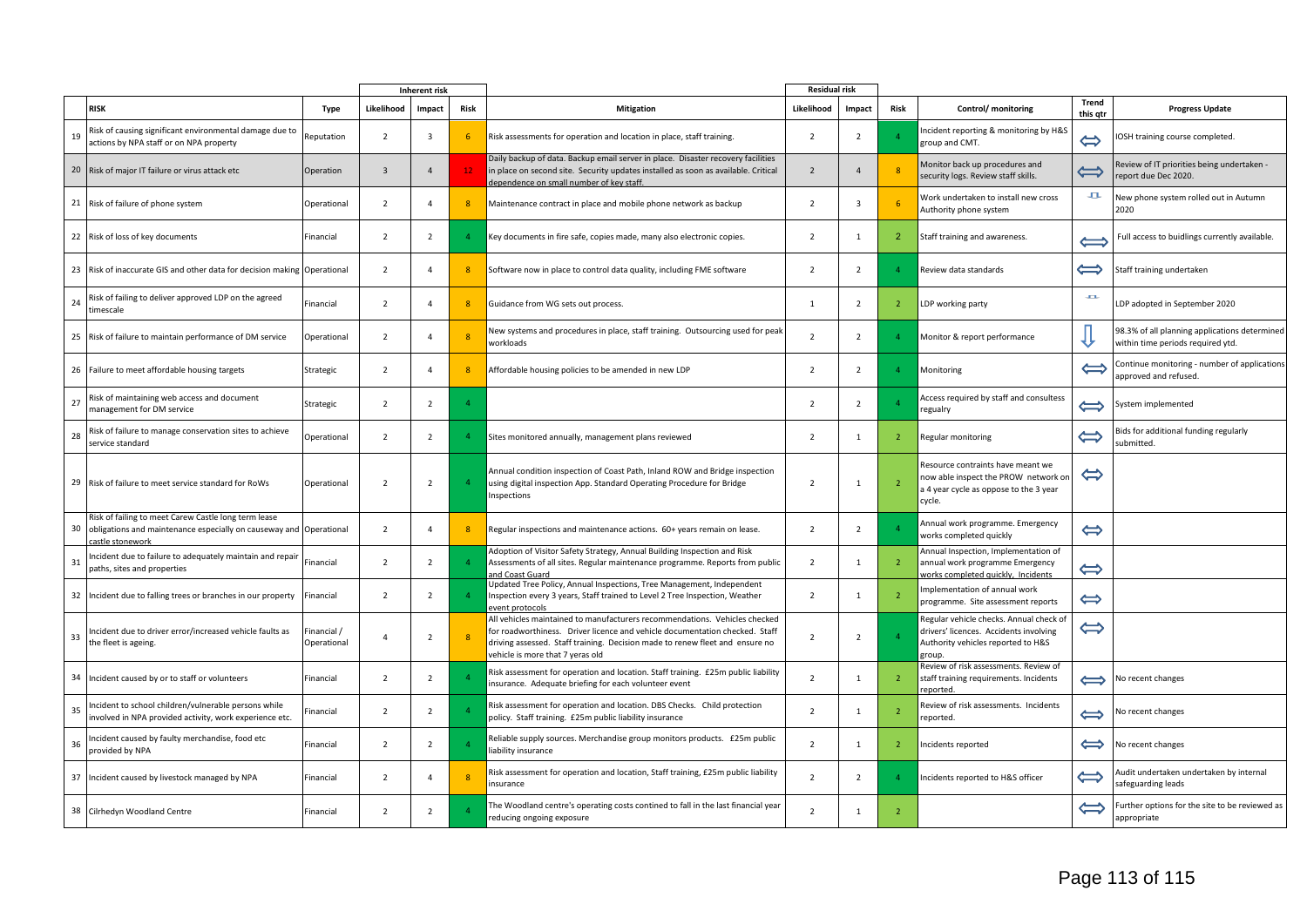|    |                                                                                                                                                |                            |                          | <b>Inherent risk</b>    |                |                                                                                                                                                                                                                                                                               | <b>Residual risk</b> |                         |                |                                                                                                                                  |                          |                                                                                    |
|----|------------------------------------------------------------------------------------------------------------------------------------------------|----------------------------|--------------------------|-------------------------|----------------|-------------------------------------------------------------------------------------------------------------------------------------------------------------------------------------------------------------------------------------------------------------------------------|----------------------|-------------------------|----------------|----------------------------------------------------------------------------------------------------------------------------------|--------------------------|------------------------------------------------------------------------------------|
|    | <b>RISK</b>                                                                                                                                    | <b>Type</b>                | Likelihood               | Impact                  | Risk           | <b>Mitigation</b>                                                                                                                                                                                                                                                             | Likelihood           | Impact                  | <b>Risk</b>    | Control/ monitoring                                                                                                              | <b>Trend</b><br>this gtr | <b>Progress Update</b>                                                             |
| 19 | Risk of causing significant environmental damage due to<br>actions by NPA staff or on NPA property                                             | Reputation                 | $\overline{2}$           | $\overline{\mathbf{3}}$ | 6              | Risk assessments for operation and location in place, staff training.                                                                                                                                                                                                         | $\overline{2}$       | $\overline{2}$          |                | Incident reporting & monitoring by H&S<br>group and CMT.                                                                         | $\Leftrightarrow$        | OSH training course completed.                                                     |
|    | 20 Risk of major IT failure or virus attack etc                                                                                                | Operation                  | $\overline{3}$           | $\overline{4}$          | 12             | Daily backup of data. Backup email server in place. Disaster recovery facilities<br>in place on second site. Security updates installed as soon as available. Critical<br>dependence on small number of key staff.                                                            | $\overline{2}$       | $\overline{4}$          | $\mathbf{8}$   | Monitor back up procedures and<br>security logs. Review staff skills.                                                            | $\Longleftrightarrow$    | Review of IT priorities being undertaken -<br>report due Dec 2020.                 |
|    | 21 Risk of failure of phone system                                                                                                             | Operational                | $\overline{2}$           | $\overline{a}$          | 8              | Maintenance contract in place and mobile phone network as backup                                                                                                                                                                                                              | $\overline{2}$       | $\overline{\mathbf{3}}$ |                | Work undertaken to install new cross<br>Authority phone system                                                                   | 五                        | New phone system rolled out in Autumn<br>2020                                      |
|    | 22 Risk of loss of key documents                                                                                                               | Financial                  | $\overline{2}$           | $\overline{2}$          |                | Key documents in fire safe, copies made, many also electronic copies.                                                                                                                                                                                                         | $\overline{2}$       | $\mathbf{1}$            | 2              | Staff training and awareness.                                                                                                    | $\Longleftrightarrow$    | Full access to buidlings currently available.                                      |
|    | 23 Risk of inaccurate GIS and other data for decision making Operational                                                                       |                            | $\overline{2}$           | $\overline{4}$          | 8              | Software now in place to control data quality, including FME software                                                                                                                                                                                                         | $\overline{2}$       | $\overline{2}$          |                | Review data standards                                                                                                            | $\Leftrightarrow$        | Staff training undertaken                                                          |
| 24 | Risk of failing to deliver approved LDP on the agreed<br>timescale                                                                             | Financial                  | $\overline{2}$           | $\overline{4}$          | 8              | Guidance from WG sets out process.                                                                                                                                                                                                                                            | $\mathbf{1}$         | $\overline{2}$          | $\overline{2}$ | LDP working party                                                                                                                | and in                   | LDP adopted in September 2020                                                      |
|    | 25 Risk of failure to maintain performance of DM service                                                                                       | Operational                | $\overline{2}$           | $\overline{A}$          | 8              | New systems and procedures in place, staff training. Outsourcing used for peal<br>workloads                                                                                                                                                                                   | $\overline{2}$       | $\overline{2}$          |                | Monitor & report performance                                                                                                     |                          | 98.3% of all planning applications determined<br>within time periods required ytd. |
|    | 26 Failure to meet affordable housing targets                                                                                                  | Strategic                  | $\overline{2}$           | $\mathbf{A}$            | 8              | Affordable housing policies to be amended in new LDP                                                                                                                                                                                                                          | $\overline{2}$       | $\overline{2}$          |                | Monitoring                                                                                                                       | $\Longleftrightarrow$    | Continue monitoring - number of applications<br>approved and refused.              |
| 27 | Risk of maintaining web access and document<br>management for DM service                                                                       | Strategic                  | $\overline{2}$           | $\overline{2}$          | $\Delta$       |                                                                                                                                                                                                                                                                               | $\overline{2}$       | $\overline{2}$          |                | Access required by staff and consultess<br>regualry                                                                              | $\Longleftrightarrow$    | System implemented                                                                 |
| 28 | Risk of failure to manage conservation sites to achieve<br>service standard                                                                    | Operational                | $\overline{2}$           | $\overline{2}$          |                | Sites monitored annually, management plans reviewed                                                                                                                                                                                                                           | $\overline{2}$       | 1                       | $\overline{2}$ | Regular monitoring                                                                                                               | $\Leftrightarrow$        | Bids for additional funding regularly<br>submitted.                                |
|    | 29 Risk of failure to meet service standard for RoWs                                                                                           | Operational                | $\overline{2}$           | $\overline{2}$          |                | Annual condition inspection of Coast Path, Inland ROW and Bridge inspection<br>using digital inspection App. Standard Operating Procedure for Bridge<br>Inspections                                                                                                           | $\overline{2}$       | 1                       |                | Resource contraints have meant we<br>now able inspect the PROW network on<br>a 4 year cycle as oppose to the 3 year<br>cycle.    | $\Leftrightarrow$        |                                                                                    |
| 30 | Risk of failing to meet Carew Castle long term lease<br>obligations and maintenance especially on causeway and Operational<br>castle stonework |                            | $\overline{2}$           | $\overline{4}$          | 8              | Regular inspections and maintenance actions. 60+ years remain on lease.                                                                                                                                                                                                       | $\overline{2}$       | $\overline{2}$          |                | Annual work programme. Emergency<br>works completed quickly                                                                      | $\Leftrightarrow$        |                                                                                    |
| 31 | ncident due to failure to adequately maintain and repair<br>paths, sites and properties                                                        | Financial                  | $\overline{2}$           | $\overline{2}$          | $\overline{4}$ | Adoption of Visitor Safety Strategy, Annual Building Inspection and Risk<br>Assessments of all sites. Regular maintenance programme. Reports from public<br>and Coast Guard                                                                                                   | $\overline{2}$       | $\mathbf{1}$            | $\overline{2}$ | Annual Inspection, Implementation of<br>annual work programme Emergency<br>works completed quickly, Incidents                    | $\Leftrightarrow$        |                                                                                    |
|    | 32 Incident due to falling trees or branches in our property                                                                                   | Financial                  | $\overline{2}$           | $\overline{2}$          |                | Updated Tree Policy, Annual Inspections, Tree Management, Independent<br>Inspection every 3 years, Staff trained to Level 2 Tree Inspection, Weather<br>event protocols                                                                                                       | $\overline{2}$       | 1                       | -2             | Implementation of annual work<br>programme. Site assessment reports                                                              | $\Leftrightarrow$        |                                                                                    |
| 33 | Incident due to driver error/increased vehicle faults as<br>the fleet is ageing.                                                               | Financial /<br>Operational | $\Delta$                 | $\overline{2}$          | -8             | All vehicles maintained to manufacturers recommendations. Vehicles checked<br>for roadworthiness. Driver licence and vehicle documentation checked. Staff<br>driving assessed. Staff training. Decision made to renew fleet and ensure no<br>vehicle is more that 7 yeras old | $\overline{2}$       | $\overline{2}$          |                | Regular vehicle checks. Annual check o<br>drivers' licences. Accidents involving<br>Authority vehicles reported to H&S<br>zroup. | $\Leftrightarrow$        |                                                                                    |
|    | 34 Incident caused by or to staff or volunteers                                                                                                | Financial                  | $\overline{2}$           | $\overline{2}$          |                | Risk assessment for operation and location. Staff training. £25m public liability<br>insurance. Adequate briefing for each volunteer event                                                                                                                                    | $\overline{2}$       | $\overline{1}$          | $\overline{2}$ | Review of risk assessments. Review of<br>staff training requirements. Incidents<br>reported.                                     | $\Longleftrightarrow$    | No recent changes                                                                  |
| 35 | Incident to school children/vulnerable persons while<br>involved in NPA provided activity, work experience etc.                                | Financial                  | $\overline{2}$           | $\overline{2}$          |                | Risk assessment for operation and location. DBS Checks. Child protection<br>policy. Staff training. £25m public liability insurance                                                                                                                                           | $\overline{2}$       | 1                       |                | Review of risk assessments. Incidents<br>reported.                                                                               | $\Longleftrightarrow$    | No recent changes                                                                  |
| 36 | Incident caused by faulty merchandise, food etc<br>provided by NPA                                                                             | Financial                  | $\overline{\phantom{a}}$ | $\overline{2}$          | $\Delta$       | Reliable supply sources. Merchandise group monitors products. £25m public<br>iability insurance                                                                                                                                                                               | $\overline{2}$       | $\mathbf{1}$            |                | Incidents reported                                                                                                               | $\Leftrightarrow$        | No recent changes                                                                  |
|    | 37 Incident caused by livestock managed by NPA                                                                                                 | Financial                  | $\overline{z}$           | $\overline{a}$          | 8              | Risk assessment for operation and location, Staff training, £25m public liability<br>insurance                                                                                                                                                                                | $\overline{2}$       | $\overline{2}$          |                | Incidents reported to H&S officer                                                                                                | $\Leftrightarrow$        | Audit undertaken undertaken by internal<br>safeguarding leads                      |
|    | 38 Cilrhedyn Woodland Centre                                                                                                                   | Financial                  | $\overline{2}$           | $\overline{2}$          |                | The Woodland centre's operating costs contined to fall in the last financial year<br>reducing ongoing exposure                                                                                                                                                                | $\overline{2}$       | 1                       | $\overline{2}$ |                                                                                                                                  | $\Longleftrightarrow$    | Further options for the site to be reviewed as<br>appropriate                      |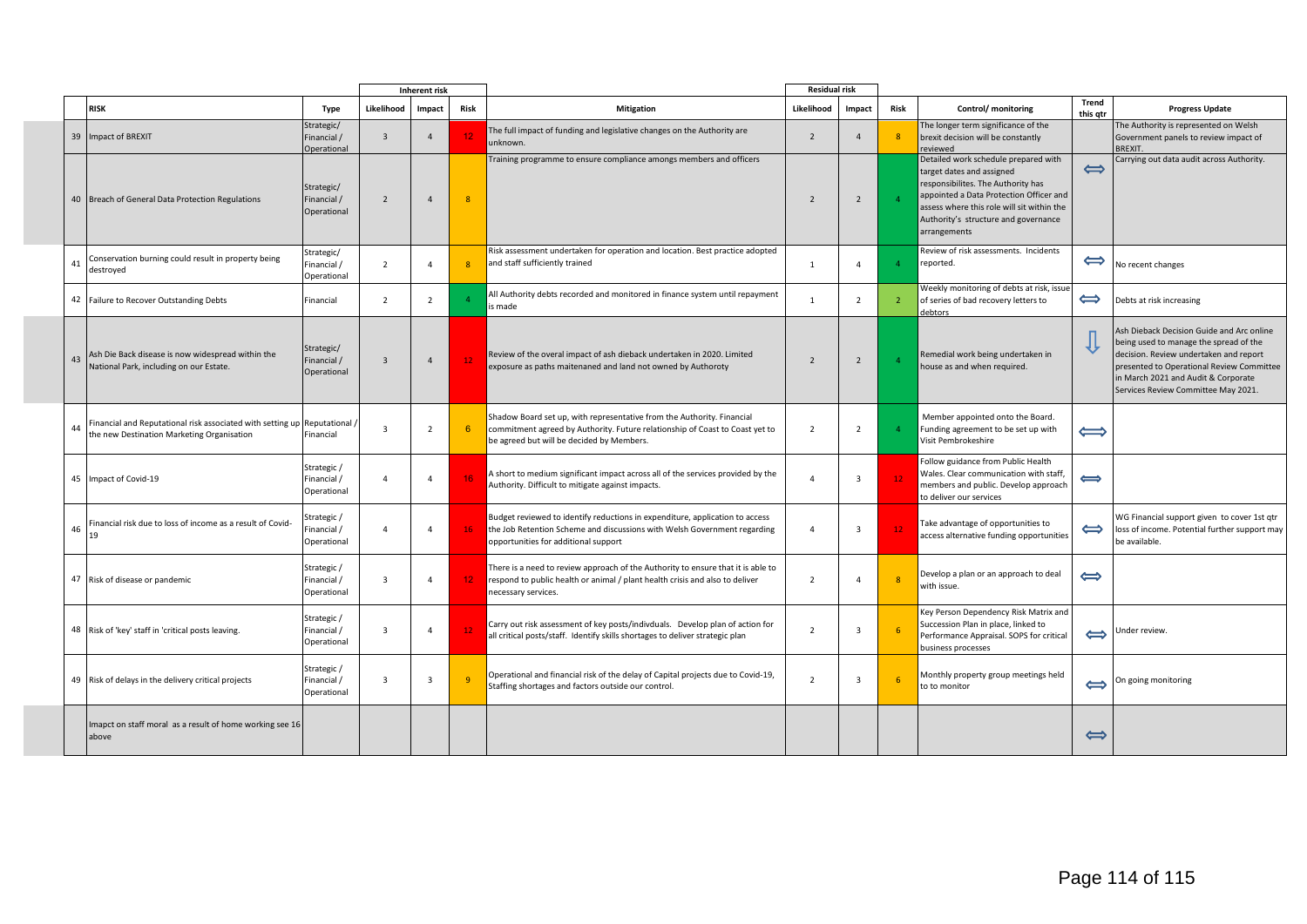|    |                                                                                                          |                                           |                         | Inherent risk           |                 |                                                                                                                                                                                                     |                | <b>Residual risk</b> |                 |                                                                                                                                                                                                                                                          |                       |                                                                                                                                                                                                                                                          |
|----|----------------------------------------------------------------------------------------------------------|-------------------------------------------|-------------------------|-------------------------|-----------------|-----------------------------------------------------------------------------------------------------------------------------------------------------------------------------------------------------|----------------|----------------------|-----------------|----------------------------------------------------------------------------------------------------------------------------------------------------------------------------------------------------------------------------------------------------------|-----------------------|----------------------------------------------------------------------------------------------------------------------------------------------------------------------------------------------------------------------------------------------------------|
|    | <b>RISK</b>                                                                                              | <b>Type</b>                               | Likelihood              | Impact                  | Risk            | <b>Mitigation</b>                                                                                                                                                                                   | Likelihood     | Impact               | Risk            | Control/ monitoring                                                                                                                                                                                                                                      | Trend<br>this qtr     | <b>Progress Update</b>                                                                                                                                                                                                                                   |
|    | 39 Impact of BREXIT                                                                                      | Strategic/<br>Financial /<br>Operational  | $\overline{3}$          | $\overline{4}$          | 12              | The full impact of funding and legislative changes on the Authority are<br>unknown.                                                                                                                 | $\overline{2}$ | $\overline{4}$       | $\overline{8}$  | The longer term significance of the<br>brexit decision will be constantly<br>reviewed                                                                                                                                                                    |                       | The Authority is represented on Welsh<br>Government panels to review impact of<br><b>BREXIT</b>                                                                                                                                                          |
|    | 40 Breach of General Data Protection Regulations                                                         | Strategic/<br>Financial /<br>Operational  | $\overline{2}$          | $\overline{4}$          | $\overline{8}$  | Training programme to ensure compliance amongs members and officers                                                                                                                                 | $\overline{2}$ | $\overline{2}$       | $\overline{4}$  | Detailed work schedule prepared with<br>target dates and assigned<br>responsibilites. The Authority has<br>appointed a Data Protection Officer and<br>assess where this role will sit within the<br>Authority's structure and governance<br>arrangements | $\Longleftrightarrow$ | Carrying out data audit across Authority.                                                                                                                                                                                                                |
| 41 | Conservation burning could result in property being<br>destroyed                                         | Strategic/<br>Financial /<br>Operational  | $\overline{2}$          | $\overline{4}$          |                 | Risk assessment undertaken for operation and location. Best practice adopted<br>and staff sufficiently trained                                                                                      | 1              | $\overline{4}$       | $\overline{4}$  | Review of risk assessments. Incidents<br>reported.                                                                                                                                                                                                       | $\Longleftrightarrow$ | No recent changes                                                                                                                                                                                                                                        |
|    | 42 Failure to Recover Outstanding Debts                                                                  | Financial                                 | 2                       | 2                       | $\Lambda$       | All Authority debts recorded and monitored in finance system until repayment<br>is made                                                                                                             | 1              | $2^{\circ}$          | $\overline{2}$  | Weekly monitoring of debts at risk, issue<br>of series of bad recovery letters to<br>debtors                                                                                                                                                             | ⇔                     | Debts at risk increasing                                                                                                                                                                                                                                 |
| 43 | Ash Die Back disease is now widespread within the<br>National Park, including on our Estate.             | Strategic/<br>Financial /<br>Operational  | $\overline{3}$          | $\overline{4}$          | 12              | Review of the overal impact of ash dieback undertaken in 2020. Limited<br>exposure as paths maitenaned and land not owned by Authoroty                                                              | $\overline{2}$ | $\overline{2}$       | $\overline{4}$  | Remedial work being undertaken in<br>house as and when required.                                                                                                                                                                                         |                       | Ash Dieback Decision Guide and Arc online<br>being used to manage the spread of the<br>decision. Review undertaken and report<br>presented to Operational Review Committee<br>in March 2021 and Audit & Corporate<br>Services Review Committee May 2021. |
|    | Financial and Reputational risk associated with setting up<br>the new Destination Marketing Organisation | Reputational<br>Financial                 | $\overline{3}$          | $\overline{2}$          | 6               | Shadow Board set up, with representative from the Authority. Financial<br>commitment agreed by Authority. Future relationship of Coast to Coast yet to<br>be agreed but will be decided by Members. | $\overline{2}$ | $\overline{2}$       | $\overline{4}$  | Member appointed onto the Board.<br>Funding agreement to be set up with<br>Visit Pembrokeshire                                                                                                                                                           | $\Longleftrightarrow$ |                                                                                                                                                                                                                                                          |
|    | 45 Impact of Covid-19                                                                                    | Strategic /<br>Financial /<br>Operational | $\overline{4}$          | $\Delta$                | 16              | A short to medium significant impact across all of the services provided by the<br>Authority. Difficult to mitigate against impacts.                                                                | $\Delta$       | 3                    | 12 <sub>1</sub> | Follow guidance from Public Health<br>Wales. Clear communication with staff,<br>members and public. Develop approach<br>to deliver our services                                                                                                          | $\Longleftrightarrow$ |                                                                                                                                                                                                                                                          |
| 46 | Financial risk due to loss of income as a result of Covid-<br>19                                         | Strategic/<br>Financial/<br>Operational   | $\overline{4}$          | $\overline{4}$          | 16              | Budget reviewed to identify reductions in expenditure, application to access<br>the Job Retention Scheme and discussions with Welsh Government regarding<br>opportunities for additional support    | $\overline{4}$ | 3                    | 12 <sub>1</sub> | Take advantage of opportunities to<br>access alternative funding opportunities                                                                                                                                                                           | $\Leftrightarrow$     | WG Financial support given to cover 1st gtr<br>loss of income. Potential further support may<br>be available.                                                                                                                                            |
|    | 47 Risk of disease or pandemic                                                                           | Strategic /<br>Financial /<br>Operational | $\overline{3}$          | $\overline{4}$          | 12 <sub>1</sub> | There is a need to review approach of the Authority to ensure that it is able to<br>respond to public health or animal / plant health crisis and also to deliver<br>necessary services.             | $\overline{2}$ | $\overline{4}$       | $\overline{8}$  | Develop a plan or an approach to deal<br>with issue.                                                                                                                                                                                                     | $\Longleftrightarrow$ |                                                                                                                                                                                                                                                          |
|    | 48 Risk of 'key' staff in 'critical posts leaving.                                                       | Strategic /<br>Financial /<br>Operational | $\overline{\mathbf{3}}$ | $\Delta$                | 12              | Carry out risk assessment of key posts/indivduals. Develop plan of action for<br>all critical posts/staff. Identify skills shortages to deliver strategic plan                                      | $\overline{2}$ | 3                    | -6              | Key Person Dependency Risk Matrix and<br>Succession Plan in place, linked to<br>Performance Appraisal. SOPS for critical<br>business processes                                                                                                           | $\Leftrightarrow$     | Under review.                                                                                                                                                                                                                                            |
|    | 49 Risk of delays in the delivery critical projects                                                      | Strategic /<br>Financial /<br>Operational | $\overline{\mathbf{3}}$ | $\overline{\mathbf{3}}$ | $\alpha$        | Operational and financial risk of the delay of Capital projects due to Covid-19,<br>Staffing shortages and factors outside our control.                                                             | $\overline{2}$ | 3                    | -6              | Monthly property group meetings held<br>to to monitor                                                                                                                                                                                                    | $\Longleftrightarrow$ | On going monitoring                                                                                                                                                                                                                                      |
|    | Imapct on staff moral as a result of home working see 16<br>above                                        |                                           |                         |                         |                 |                                                                                                                                                                                                     |                |                      |                 |                                                                                                                                                                                                                                                          | $\Longleftrightarrow$ |                                                                                                                                                                                                                                                          |